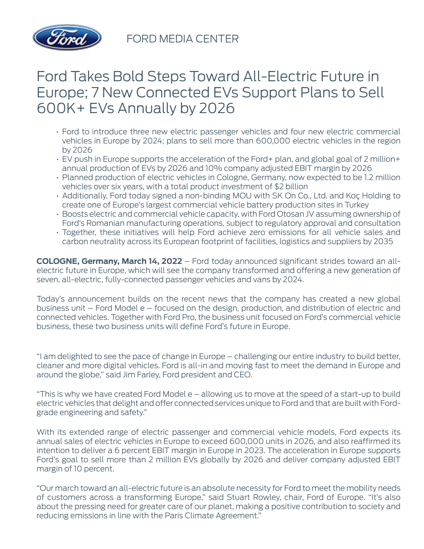

FORD MEDIA CENTER

# Ford Takes Bold Steps Toward All-Electric Future in Europe; 7 New Connected EVs Support Plans to Sell 600K+ EVs Annually by 2026

- Ford to introduce three new electric passenger vehicles and four new electric commercial vehicles in Europe by 2024; plans to sell more than 600,000 electric vehicles in the region by 2026
- EV push in Europe supports the acceleration of the Ford+ plan, and global goal of 2 million+ annual production of EVs by 2026 and 10% company adjusted EBIT margin by 2026
- Planned production of electric vehicles in Cologne, Germany, now expected to be 1.2 million vehicles over six years, with a total product investment of \$2 billion
- Additionally, Ford today signed a non-binding MOU with SK On Co., Ltd. and Koç Holding to create one of Europe's largest commercial vehicle battery production sites in Turkey
- Boosts electric and commercial vehicle capacity, with Ford Otosan JV assuming ownership of Ford's Romanian manufacturing operations, subject to regulatory approval and consultation
- Together, these initiatives will help Ford achieve zero emissions for all vehicle sales and carbon neutrality across its European footprint of facilities, logistics and suppliers by 2035

**COLOGNE, Germany, March 14, 2022** – Ford today announced significant strides toward an allelectric future in Europe, which will see the company transformed and offering a new generation of seven, all-electric, fully-connected passenger vehicles and vans by 2024.

Today's announcement builds on the recent news that the company has created a new global business unit – Ford Model e – focused on the design, production, and distribution of electric and connected vehicles. Together with Ford Pro, the business unit focused on Ford's commercial vehicle business, these two business units will define Ford's future in Europe.

"I am delighted to see the pace of change in Europe – challenging our entire industry to build better, cleaner and more digital vehicles. Ford is all-in and moving fast to meet the demand in Europe and around the globe," said Jim Farley, Ford president and CEO.

"This is why we have created Ford Model e – allowing us to move at the speed of a start-up to build electric vehicles that delight and offer connected services unique to Ford and that are built with Fordgrade engineering and safety."

With its extended range of electric passenger and commercial vehicle models, Ford expects its annual sales of electric vehicles in Europe to exceed 600,000 units in 2026, and also reaffirmed its intention to deliver a 6 percent EBIT margin in Europe in 2023. The acceleration in Europe supports Ford's goal to sell more than 2 million EVs globally by 2026 and deliver company adjusted EBIT margin of 10 percent.

"Our march toward an all-electric future is an absolute necessity for Ford to meet the mobility needs of customers across a transforming Europe," said Stuart Rowley, chair, Ford of Europe. "It's also about the pressing need for greater care of our planet, making a positive contribution to society and reducing emissions in line with the Paris Climate Agreement."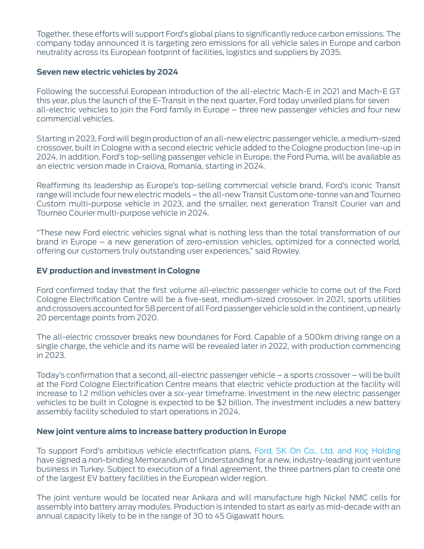Together, these efforts will support Ford's global plans to significantly reduce carbon emissions. The company today announced it is targeting zero emissions for all vehicle sales in Europe and carbon neutrality across its European footprint of facilities, logistics and suppliers by 2035.

#### **Seven new electric vehicles by 2024**

Following the successful European introduction of the all-electric Mach-E in 2021 and Mach-E GT this year, plus the launch of the E-Transit in the next quarter, Ford today unveiled plans for seven all-electric vehicles to join the Ford family in Europe – three new passenger vehicles and four new commercial vehicles.

Starting in 2023, Ford will begin production of an all-new electric passenger vehicle, a medium-sized crossover, built in Cologne with a second electric vehicle added to the Cologne production line-up in 2024. In addition, Ford's top-selling passenger vehicle in Europe, the Ford Puma, will be available as an electric version made in Craiova, Romania, starting in 2024.

Reaffirming its leadership as Europe's top-selling commercial vehicle brand, Ford's iconic Transit range will include four new electric models – the all-new Transit Custom one-tonne van and Tourneo Custom multi-purpose vehicle in 2023, and the smaller, next generation Transit Courier van and Tourneo Courier multi-purpose vehicle in 2024.

"These new Ford electric vehicles signal what is nothing less than the total transformation of our brand in Europe – a new generation of zero-emission vehicles, optimized for a connected world, offering our customers truly outstanding user experiences," said Rowley.

#### **EV production and investment in Cologne**

Ford confirmed today that the first volume all-electric passenger vehicle to come out of the Ford Cologne Electrification Centre will be a five-seat, medium-sized crossover. In 2021, sports utilities and crossovers accounted for 58 percent of all Ford passenger vehicle sold in the continent, up nearly 20 percentage points from 2020.

The all-electric crossover breaks new boundaries for Ford. Capable of a 500km driving range on a single charge, the vehicle and its name will be revealed later in 2022, with production commencing in 2023.

Today's confirmation that a second, all-electric passenger vehicle – a sports crossover – will be built at the Ford Cologne Electrification Centre means that electric vehicle production at the facility will increase to 1.2 million vehicles over a six-year timeframe. Investment in the new electric passenger vehicles to be built in Cologne is expected to be \$2 billion. The investment includes a new battery assembly facility scheduled to start operations in 2024.

### **New joint venture aims to increase battery production in Europe**

To support Ford's ambitious vehicle electrification plans, [Ford, SK On Co., Ltd. and Koç Holding](https://media.ford.com/content/fordmedia/feu/en/news/2022/03/14/battery.html) have signed a non-binding Memorandum of Understanding for a new, industry-leading joint venture business in Turkey. Subject to execution of a final agreement, the three partners plan to create one of the largest EV battery facilities in the European wider region.

The joint venture would be located near Ankara and will manufacture high Nickel NMC cells for assembly into battery array modules. Production is intended to start as early as mid-decade with an annual capacity likely to be in the range of 30 to 45 Gigawatt hours.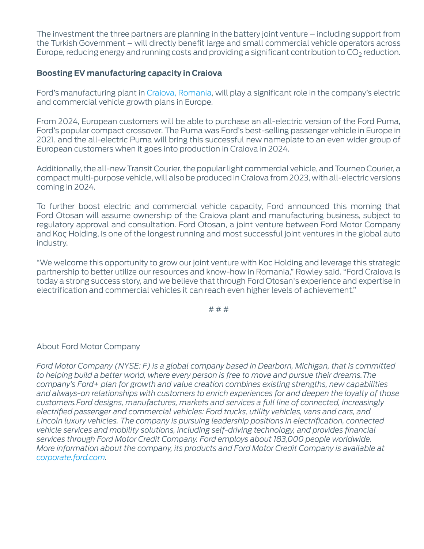The investment the three partners are planning in the battery joint venture – including support from the Turkish Government – will directly benefit large and small commercial vehicle operators across Europe, reducing energy and running costs and providing a significant contribution to  $CO<sub>2</sub>$  reduction.

## **Boosting EV manufacturing capacity in Craiova**

Ford's manufacturing plant in [Craiova, Romania,](https://media.ford.com/content/fordmedia/feu/en/news/2022/03/14/craiova.html) will play a significant role in the company's electric and commercial vehicle growth plans in Europe.

From 2024, European customers will be able to purchase an all-electric version of the Ford Puma, Ford's popular compact crossover. The Puma was Ford's best-selling passenger vehicle in Europe in 2021, and the all-electric Puma will bring this successful new nameplate to an even wider group of European customers when it goes into production in Craiova in 2024.

Additionally, the all-new Transit Courier, the popular light commercial vehicle, and Tourneo Courier, a compact multi-purpose vehicle, will also be produced in Craiova from 2023, with all-electric versions coming in 2024.

To further boost electric and commercial vehicle capacity, Ford announced this morning that Ford Otosan will assume ownership of the Craiova plant and manufacturing business, subject to regulatory approval and consultation. Ford Otosan, a joint venture between Ford Motor Company and Koç Holding, is one of the longest running and most successful joint ventures in the global auto industry.

"We welcome this opportunity to grow our joint venture with Koc Holding and leverage this strategic partnership to better utilize our resources and know-how in Romania," Rowley said. "Ford Craiova is today a strong success story, and we believe that through Ford Otosan's experience and expertise in electrification and commercial vehicles it can reach even higher levels of achievement."

# # #

### About Ford Motor Company

*Ford Motor Company (NYSE: F) is a global company based in Dearborn, Michigan, that is committed to helping build a better world, where every person is free to move and pursue their dreams.The company's Ford+ plan for growth and value creation combines existing strengths, new capabilities and always-on relationships with customers to enrich experiences for and deepen the loyalty of those customers.Ford designs, manufactures, markets and services a full line of connected, increasingly electrified passenger and commercial vehicles: Ford trucks, utility vehicles, vans and cars, and Lincoln luxury vehicles. The company is pursuing leadership positions in electrification, connected vehicle services and mobility solutions, including self-driving technology, and provides financial services through Ford Motor Credit Company. Ford employs about 183,000 people worldwide. More information about the company, its products and Ford Motor Credit Company is available at [corporate.ford.com.](https://corporate.ford.com/)*